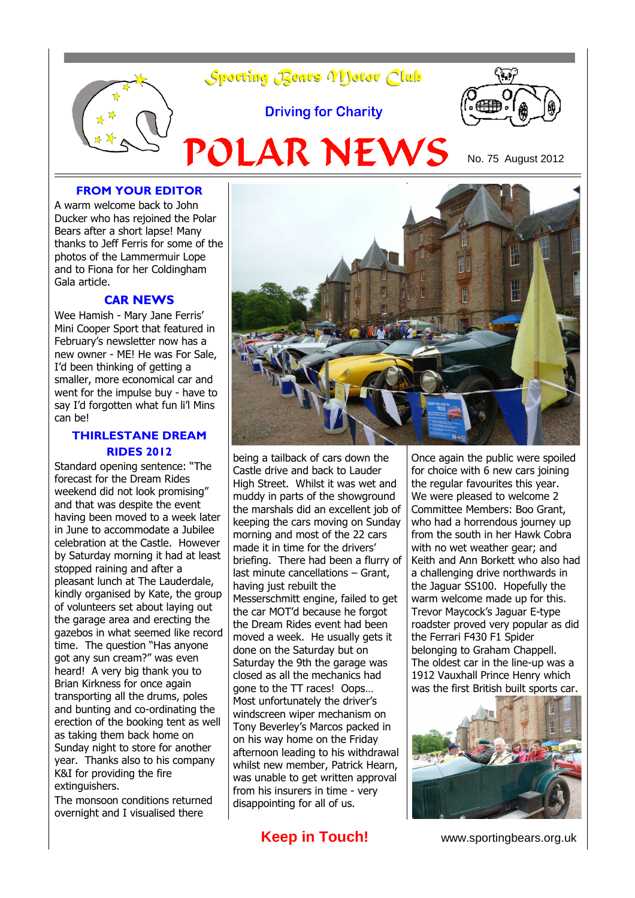

#### **FROM YOUR EDITOR**

A warm welcome back to John Ducker who has rejoined the Polar Bears after a short lapse! Many thanks to Jeff Ferris for some of the photos of the Lammermuir Lope and to Fiona for her Coldingham Gala article.

#### **CAR NEWS**

Wee Hamish - Mary Jane Ferris' Mini Cooper Sport that featured in February's newsletter now has a new owner - ME! He was For Sale, I'd been thinking of getting a smaller, more economical car and went for the impulse buy - have to say I'd forgotten what fun li'l Mins can be!

#### **THIRLESTANE DREAM RIDES 2012**

Standard opening sentence: "The forecast for the Dream Rides weekend did not look promising" and that was despite the event having been moved to a week later in June to accommodate a Jubilee celebration at the Castle. However by Saturday morning it had at least stopped raining and after a pleasant lunch at The Lauderdale, kindly organised by Kate, the group of volunteers set about laying out the garage area and erecting the gazebos in what seemed like record time. The question "Has anyone got any sun cream?" was even heard! A very big thank you to Brian Kirkness for once again transporting all the drums, poles and bunting and co-ordinating the erection of the booking tent as well as taking them back home on Sunday night to store for another year. Thanks also to his company K&I for providing the fire extinguishers.

The monsoon conditions returned overnight and I visualised there



being a tailback of cars down the Castle drive and back to Lauder High Street. Whilst it was wet and muddy in parts of the showground the marshals did an excellent job of keeping the cars moving on Sunday morning and most of the 22 cars made it in time for the drivers' briefing. There had been a flurry of last minute cancellations – Grant, having just rebuilt the Messerschmitt engine, failed to get the car MOT'd because he forgot the Dream Rides event had been moved a week. He usually gets it done on the Saturday but on Saturday the 9th the garage was closed as all the mechanics had gone to the TT races! Oops… Most unfortunately the driver's windscreen wiper mechanism on Tony Beverley's Marcos packed in on his way home on the Friday afternoon leading to his withdrawal whilst new member, Patrick Hearn, was unable to get written approval from his insurers in time - very disappointing for all of us.

**Keep in Touch!** www.sportingbears.org.uk

Once again the public were spoiled for choice with 6 new cars joining the regular favourites this year. We were pleased to welcome 2 Committee Members: Boo Grant, who had a horrendous journey up from the south in her Hawk Cobra with no wet weather gear; and Keith and Ann Borkett who also had a challenging drive northwards in the Jaguar SS100. Hopefully the warm welcome made up for this. Trevor Maycock's Jaguar E-type roadster proved very popular as did the Ferrari F430 F1 Spider belonging to Graham Chappell. The oldest car in the line-up was a 1912 Vauxhall Prince Henry which was the first British built sports car.

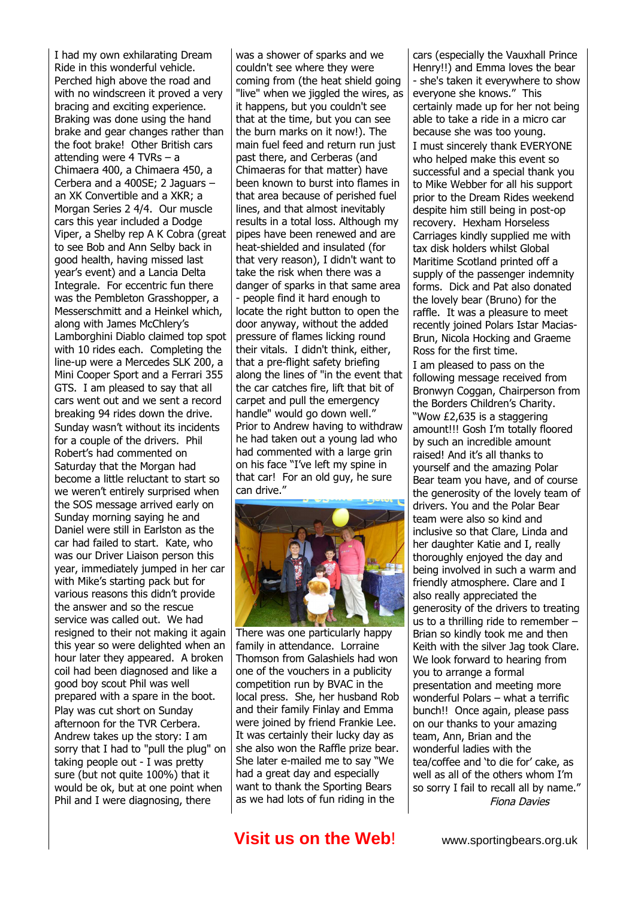I had my own exhilarating Dream Ride in this wonderful vehicle. Perched high above the road and with no windscreen it proved a very bracing and exciting experience. Braking was done using the hand brake and gear changes rather than the foot brake! Other British cars attending were 4 TVRs – a Chimaera 400, a Chimaera 450, a Cerbera and a 400SE; 2 Jaguars – an XK Convertible and a XKR; a Morgan Series 2 4/4. Our muscle cars this year included a Dodge Viper, a Shelby rep A K Cobra (great to see Bob and Ann Selby back in good health, having missed last year's event) and a Lancia Delta Integrale. For eccentric fun there was the Pembleton Grasshopper, a Messerschmitt and a Heinkel which, along with James McChlery's Lamborghini Diablo claimed top spot with 10 rides each. Completing the line-up were a Mercedes SLK 200, a Mini Cooper Sport and a Ferrari 355 GTS. I am pleased to say that all cars went out and we sent a record breaking 94 rides down the drive. Sunday wasn't without its incidents for a couple of the drivers. Phil Robert's had commented on Saturday that the Morgan had become a little reluctant to start so we weren't entirely surprised when the SOS message arrived early on Sunday morning saying he and Daniel were still in Earlston as the car had failed to start. Kate, who was our Driver Liaison person this year, immediately jumped in her car with Mike's starting pack but for various reasons this didn't provide the answer and so the rescue service was called out. We had resigned to their not making it again this year so were delighted when an hour later they appeared. A broken coil had been diagnosed and like a good boy scout Phil was well prepared with a spare in the boot. Play was cut short on Sunday afternoon for the TVR Cerbera. Andrew takes up the story: I am sorry that I had to "pull the plug" on taking people out - I was pretty sure (but not quite 100%) that it would be ok, but at one point when Phil and I were diagnosing, there

was a shower of sparks and we couldn't see where they were coming from (the heat shield going "live" when we jiggled the wires, as it happens, but you couldn't see that at the time, but you can see the burn marks on it now!). The main fuel feed and return run just past there, and Cerberas (and Chimaeras for that matter) have been known to burst into flames in that area because of perished fuel lines, and that almost inevitably results in a total loss. Although my pipes have been renewed and are heat-shielded and insulated (for that very reason), I didn't want to take the risk when there was a danger of sparks in that same area - people find it hard enough to locate the right button to open the door anyway, without the added pressure of flames licking round their vitals. I didn't think, either, that a pre-flight safety briefing along the lines of "in the event that the car catches fire, lift that bit of carpet and pull the emergency handle" would go down well." Prior to Andrew having to withdraw he had taken out a young lad who had commented with a large grin on his face "I've left my spine in that car! For an old guy, he sure can drive."



There was one particularly happy family in attendance. Lorraine Thomson from Galashiels had won one of the vouchers in a publicity competition run by BVAC in the local press. She, her husband Rob and their family Finlay and Emma were joined by friend Frankie Lee. It was certainly their lucky day as she also won the Raffle prize bear. She later e-mailed me to say "We had a great day and especially want to thank the Sporting Bears as we had lots of fun riding in the

cars (especially the Vauxhall Prince Henry!!) and Emma loves the bear - she's taken it everywhere to show everyone she knows." This certainly made up for her not being able to take a ride in a micro car because she was too young. I must sincerely thank EVERYONE who helped make this event so successful and a special thank you to Mike Webber for all his support prior to the Dream Rides weekend despite him still being in post-op recovery. Hexham Horseless Carriages kindly supplied me with tax disk holders whilst Global Maritime Scotland printed off a supply of the passenger indemnity forms. Dick and Pat also donated the lovely bear (Bruno) for the raffle. It was a pleasure to meet recently joined Polars Istar Macias-Brun, Nicola Hocking and Graeme Ross for the first time. I am pleased to pass on the following message received from Bronwyn Coggan, Chairperson from the Borders Children's Charity. "Wow £2,635 is a staggering amount!!! Gosh I'm totally floored by such an incredible amount raised! And it's all thanks to yourself and the amazing Polar Bear team you have, and of course the generosity of the lovely team of drivers. You and the Polar Bear team were also so kind and inclusive so that Clare, Linda and her daughter Katie and I, really thoroughly enjoyed the day and being involved in such a warm and friendly atmosphere. Clare and I also really appreciated the generosity of the drivers to treating us to a thrilling ride to remember – Brian so kindly took me and then Keith with the silver Jag took Clare. We look forward to hearing from you to arrange a formal presentation and meeting more

## **Visit us on the Web!** www.sportingbears.org.uk

Fiona Davies

wonderful Polars – what a terrific bunch!! Once again, please pass on our thanks to your amazing team, Ann, Brian and the wonderful ladies with the

tea/coffee and 'to die for' cake, as well as all of the others whom I'm so sorry I fail to recall all by name."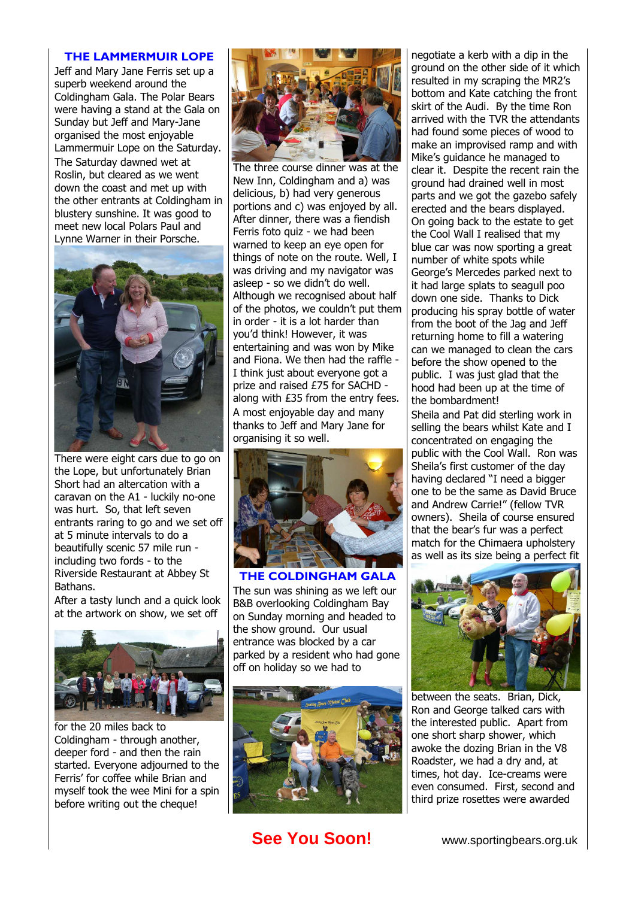#### **THE LAMMERMUIR LOPE**

Jeff and Mary Jane Ferris set up a superb weekend around the Coldingham Gala. The Polar Bears were having a stand at the Gala on Sunday but Jeff and Mary-Jane organised the most enjoyable Lammermuir Lope on the Saturday. The Saturday dawned wet at Roslin, but cleared as we went down the coast and met up with the other entrants at Coldingham in blustery sunshine. It was good to meet new local Polars Paul and Lynne Warner in their Porsche.



There were eight cars due to go on the Lope, but unfortunately Brian Short had an altercation with a caravan on the A1 - luckily no-one was hurt. So, that left seven entrants raring to go and we set off at 5 minute intervals to do a beautifully scenic 57 mile run including two fords - to the Riverside Restaurant at Abbey St Bathans.

After a tasty lunch and a quick look at the artwork on show, we set off



for the 20 miles back to Coldingham - through another, deeper ford - and then the rain started. Everyone adjourned to the Ferris' for coffee while Brian and myself took the wee Mini for a spin before writing out the cheque!



The three course dinner was at the New Inn, Coldingham and a) was delicious, b) had very generous portions and c) was enjoyed by all. After dinner, there was a fiendish Ferris foto quiz - we had been warned to keep an eye open for things of note on the route. Well, I was driving and my navigator was asleep - so we didn't do well. Although we recognised about half of the photos, we couldn't put them in order - it is a lot harder than you'd think! However, it was entertaining and was won by Mike and Fiona. We then had the raffle - I think just about everyone got a prize and raised £75 for SACHD along with £35 from the entry fees. A most enjoyable day and many thanks to Jeff and Mary Jane for organising it so well.



**THE COLDINGHAM GALA** The sun was shining as we left our B&B overlooking Coldingham Bay on Sunday morning and headed to the show ground. Our usual entrance was blocked by a car parked by a resident who had gone off on holiday so we had to



**See You Soon!** www.sportingbears.org.uk

negotiate a kerb with a dip in the ground on the other side of it which resulted in my scraping the MR2's bottom and Kate catching the front skirt of the Audi. By the time Ron arrived with the TVR the attendants had found some pieces of wood to make an improvised ramp and with Mike's guidance he managed to clear it. Despite the recent rain the ground had drained well in most parts and we got the gazebo safely erected and the bears displayed. On going back to the estate to get the Cool Wall I realised that my blue car was now sporting a great number of white spots while George's Mercedes parked next to it had large splats to seagull poo down one side. Thanks to Dick producing his spray bottle of water from the boot of the Jag and Jeff returning home to fill a watering can we managed to clean the cars before the show opened to the public. I was just glad that the hood had been up at the time of the bombardment!

Sheila and Pat did sterling work in selling the bears whilst Kate and I concentrated on engaging the public with the Cool Wall. Ron was Sheila's first customer of the day having declared "I need a bigger one to be the same as David Bruce and Andrew Carrie!" (fellow TVR owners). Sheila of course ensured that the bear's fur was a perfect match for the Chimaera upholstery as well as its size being a perfect fit



between the seats. Brian, Dick, Ron and George talked cars with the interested public. Apart from one short sharp shower, which awoke the dozing Brian in the V8 Roadster, we had a dry and, at times, hot day. Ice-creams were even consumed. First, second and third prize rosettes were awarded